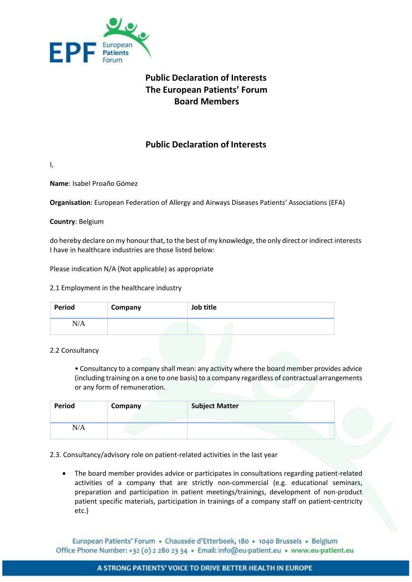

# **Public Declaration of Interests The European Patients' Forum Board Members**

## **Public Declaration of Interests**

I,

**Name**: Isabel Proaño Gómez

**Organisation**: European Federation of Allergy and Airways Diseases Patients' Associations (EFA)

**Country**: Belgium

do hereby declare on my honour that, to the best of my knowledge, the only direct or indirect interests I have in healthcare industries are those listed below:

Please indication N/A (Not applicable) as appropriate

#### 2.1 Employment in the healthcare industry

| Period | Company | Job title |
|--------|---------|-----------|
| N/A    |         |           |

#### 2.2 Consultancy

• Consultancy to a company shall mean: any activity where the board member provides advice (including training on a one to one basis) to a company regardless of contractual arrangements or any form of remuneration.

| Period | Company | <b>Subject Matter</b> |  |
|--------|---------|-----------------------|--|
| N/A    |         |                       |  |

2.3. Consultancy/advisory role on patient-related activities in the last year

• The board member provides advice or participates in consultations regarding patient-related activities of a company that are strictly non-commercial (e.g. educational seminars, preparation and participation in patient meetings/trainings, development of non-product patient specific materials, participation in trainings of a company staff on patient-centricity etc.)

European Patients' Forum · Chaussée d'Etterbeek, 180 · 1040 Brussels · Belgium Office Phone Number: +32 (0) 2 280 23 34 · Email: info@eu-patient.eu · www.eu-patient.eu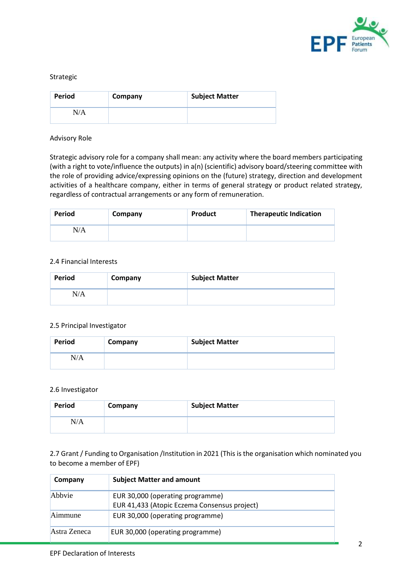

#### Strategic

| Period | Company | <b>Subject Matter</b> |
|--------|---------|-----------------------|
| N/A    |         |                       |

#### Advisory Role

Strategic advisory role for a company shall mean: any activity where the board members participating (with a right to vote/influence the outputs) in a(n) (scientific) advisory board/steering committee with the role of providing advice/expressing opinions on the (future) strategy, direction and development activities of a healthcare company, either in terms of general strategy or product related strategy, regardless of contractual arrangements or any form of remuneration.

| Period | Company | Product | <b>Therapeutic Indication</b> |
|--------|---------|---------|-------------------------------|
| N/A    |         |         |                               |

#### 2.4 Financial Interests

| <b>Period</b> | Company | <b>Subject Matter</b> |
|---------------|---------|-----------------------|
| N/A           |         |                       |

#### 2.5 Principal Investigator

| Period | Company | <b>Subject Matter</b> |
|--------|---------|-----------------------|
| N/A    |         |                       |

#### 2.6 Investigator

| <b>Period</b> | Company | <b>Subject Matter</b> |
|---------------|---------|-----------------------|
| N/A           |         |                       |

2.7 Grant / Funding to Organisation /Institution in 2021 (This is the organisation which nominated you to become a member of EPF)

| Company      | <b>Subject Matter and amount</b>                                                 |
|--------------|----------------------------------------------------------------------------------|
| Abbyie       | EUR 30,000 (operating programme)<br>EUR 41,433 (Atopic Eczema Consensus project) |
| Aimmune      | EUR 30,000 (operating programme)                                                 |
| Astra Zeneca | EUR 30,000 (operating programme)                                                 |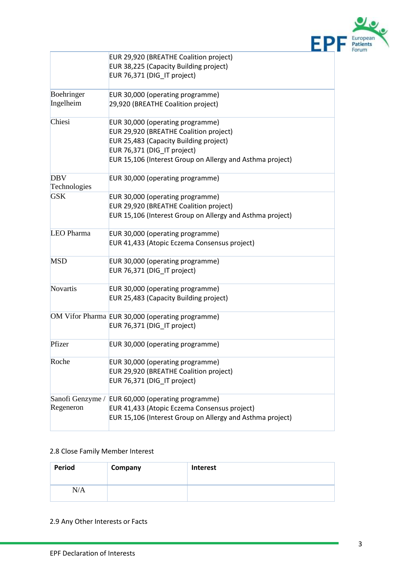

|                            | EUR 29,920 (BREATHE Coalition project)                                     |
|----------------------------|----------------------------------------------------------------------------|
|                            | EUR 38,225 (Capacity Building project)                                     |
|                            | EUR 76,371 (DIG IT project)                                                |
| Boehringer                 | EUR 30,000 (operating programme)                                           |
| Ingelheim                  | 29,920 (BREATHE Coalition project)                                         |
| Chiesi                     | EUR 30,000 (operating programme)                                           |
|                            | EUR 29,920 (BREATHE Coalition project)                                     |
|                            | EUR 25,483 (Capacity Building project)                                     |
|                            | EUR 76,371 (DIG_IT project)                                                |
|                            | EUR 15,106 (Interest Group on Allergy and Asthma project)                  |
| <b>DBV</b>                 | EUR 30,000 (operating programme)                                           |
| Technologies<br><b>GSK</b> |                                                                            |
|                            | EUR 30,000 (operating programme)<br>EUR 29,920 (BREATHE Coalition project) |
|                            | EUR 15,106 (Interest Group on Allergy and Asthma project)                  |
|                            |                                                                            |
| LEO Pharma                 | EUR 30,000 (operating programme)                                           |
|                            | EUR 41,433 (Atopic Eczema Consensus project)                               |
| <b>MSD</b>                 | EUR 30,000 (operating programme)                                           |
|                            | EUR 76,371 (DIG_IT project)                                                |
| <b>Novartis</b>            | EUR 30,000 (operating programme)                                           |
|                            | EUR 25,483 (Capacity Building project)                                     |
|                            | OM Vifor Pharma EUR 30,000 (operating programme)                           |
|                            | EUR 76,371 (DIG_IT project)                                                |
| Pfizer                     | EUR 30,000 (operating programme)                                           |
| Roche                      | EUR 30,000 (operating programme)                                           |
|                            | EUR 29,920 (BREATHE Coalition project)                                     |
|                            | EUR 76,371 (DIG_IT project)                                                |
| Sanofi Genzyme /           | EUR 60,000 (operating programme)                                           |
| Regeneron                  | EUR 41,433 (Atopic Eczema Consensus project)                               |
|                            | EUR 15,106 (Interest Group on Allergy and Asthma project)                  |

### 2.8 Close Family Member Interest

| Period | Company | <b>Interest</b> |
|--------|---------|-----------------|
| N/A    |         |                 |

2.9 Any Other Interests or Facts